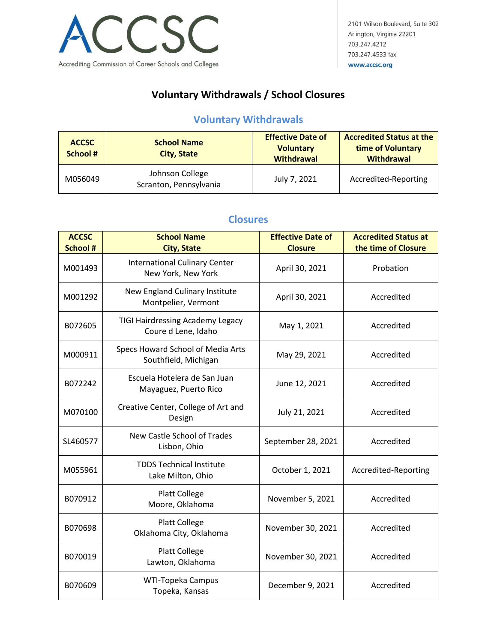

## **Voluntary Withdrawals / School Closures**

## **Voluntary Withdrawals**

| <b>ACCSC</b><br><b>School #</b> | <b>School Name</b><br><b>City, State</b>  | <b>Effective Date of</b><br><b>Voluntary</b><br><b>Withdrawal</b> | <b>Accredited Status at the</b><br>time of Voluntary<br>Withdrawal |
|---------------------------------|-------------------------------------------|-------------------------------------------------------------------|--------------------------------------------------------------------|
| M056049                         | Johnson College<br>Scranton, Pennsylvania | July 7, 2021                                                      | Accredited-Reporting                                               |

## **Closures**

| <b>ACCSC</b><br><b>School #</b> | <b>School Name</b><br><b>City, State</b>                       | <b>Effective Date of</b><br><b>Closure</b> | <b>Accredited Status at</b><br>the time of Closure |
|---------------------------------|----------------------------------------------------------------|--------------------------------------------|----------------------------------------------------|
| M001493                         | <b>International Culinary Center</b><br>New York, New York     | April 30, 2021                             | Probation                                          |
| M001292                         | New England Culinary Institute<br>Montpelier, Vermont          | April 30, 2021                             | Accredited                                         |
| B072605                         | <b>TIGI Hairdressing Academy Legacy</b><br>Coure d Lene, Idaho | May 1, 2021                                | Accredited                                         |
| M000911                         | Specs Howard School of Media Arts<br>Southfield, Michigan      | May 29, 2021                               | Accredited                                         |
| B072242                         | Escuela Hotelera de San Juan<br>Mayaguez, Puerto Rico          | June 12, 2021                              | Accredited                                         |
| M070100                         | Creative Center, College of Art and<br>Design                  | July 21, 2021                              | Accredited                                         |
| SL460577                        | <b>New Castle School of Trades</b><br>Lisbon, Ohio             | September 28, 2021                         | Accredited                                         |
| M055961                         | <b>TDDS Technical Institute</b><br>Lake Milton, Ohio           | October 1, 2021                            | Accredited-Reporting                               |
| B070912                         | Platt College<br>Moore, Oklahoma                               | November 5, 2021                           | Accredited                                         |
| B070698                         | <b>Platt College</b><br>Oklahoma City, Oklahoma                | November 30, 2021                          | Accredited                                         |
| B070019                         | <b>Platt College</b><br>Lawton, Oklahoma                       | November 30, 2021                          | Accredited                                         |
| B070609                         | <b>WTI-Topeka Campus</b><br>Topeka, Kansas                     | December 9, 2021                           | Accredited                                         |